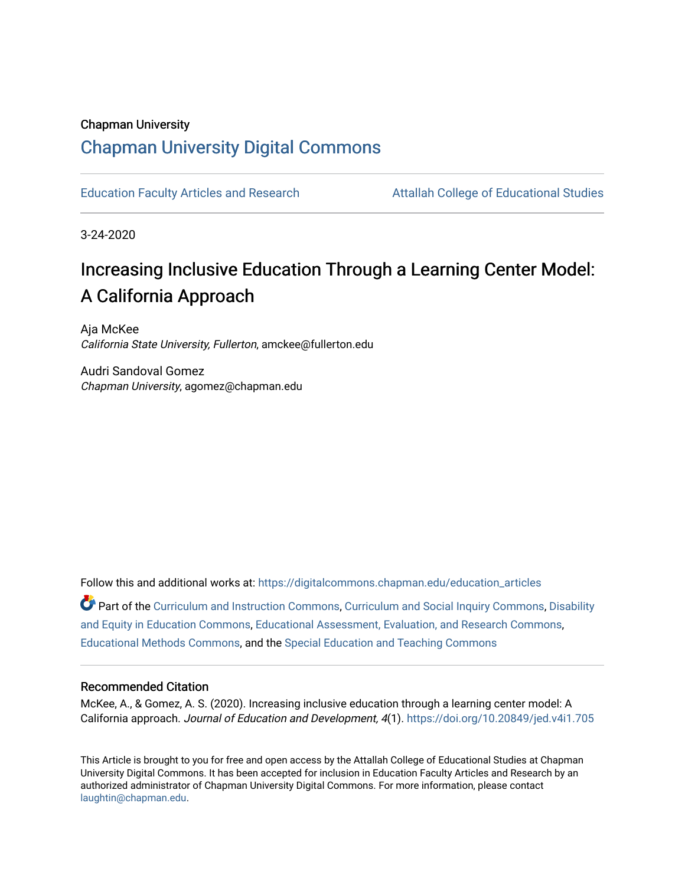## Chapman University

# [Chapman University Digital Commons](https://digitalcommons.chapman.edu/)

[Education Faculty Articles and Research](https://digitalcommons.chapman.edu/education_articles) [Attallah College of Educational Studies](https://digitalcommons.chapman.edu/ces) 

3-24-2020

# Increasing Inclusive Education Through a Learning Center Model: A California Approach

Aja McKee California State University, Fullerton, amckee@fullerton.edu

Audri Sandoval Gomez Chapman University, agomez@chapman.edu

Follow this and additional works at: [https://digitalcommons.chapman.edu/education\\_articles](https://digitalcommons.chapman.edu/education_articles?utm_source=digitalcommons.chapman.edu%2Feducation_articles%2F253&utm_medium=PDF&utm_campaign=PDFCoverPages)

Part of the [Curriculum and Instruction Commons,](http://network.bepress.com/hgg/discipline/786?utm_source=digitalcommons.chapman.edu%2Feducation_articles%2F253&utm_medium=PDF&utm_campaign=PDFCoverPages) [Curriculum and Social Inquiry Commons,](http://network.bepress.com/hgg/discipline/1038?utm_source=digitalcommons.chapman.edu%2Feducation_articles%2F253&utm_medium=PDF&utm_campaign=PDFCoverPages) [Disability](http://network.bepress.com/hgg/discipline/1040?utm_source=digitalcommons.chapman.edu%2Feducation_articles%2F253&utm_medium=PDF&utm_campaign=PDFCoverPages)  [and Equity in Education Commons](http://network.bepress.com/hgg/discipline/1040?utm_source=digitalcommons.chapman.edu%2Feducation_articles%2F253&utm_medium=PDF&utm_campaign=PDFCoverPages), [Educational Assessment, Evaluation, and Research Commons](http://network.bepress.com/hgg/discipline/796?utm_source=digitalcommons.chapman.edu%2Feducation_articles%2F253&utm_medium=PDF&utm_campaign=PDFCoverPages), [Educational Methods Commons,](http://network.bepress.com/hgg/discipline/1227?utm_source=digitalcommons.chapman.edu%2Feducation_articles%2F253&utm_medium=PDF&utm_campaign=PDFCoverPages) and the [Special Education and Teaching Commons](http://network.bepress.com/hgg/discipline/801?utm_source=digitalcommons.chapman.edu%2Feducation_articles%2F253&utm_medium=PDF&utm_campaign=PDFCoverPages)

#### Recommended Citation

McKee, A., & Gomez, A. S. (2020). Increasing inclusive education through a learning center model: A California approach. Journal of Education and Development, 4(1). <https://doi.org/10.20849/jed.v4i1.705>

This Article is brought to you for free and open access by the Attallah College of Educational Studies at Chapman University Digital Commons. It has been accepted for inclusion in Education Faculty Articles and Research by an authorized administrator of Chapman University Digital Commons. For more information, please contact [laughtin@chapman.edu.](mailto:laughtin@chapman.edu)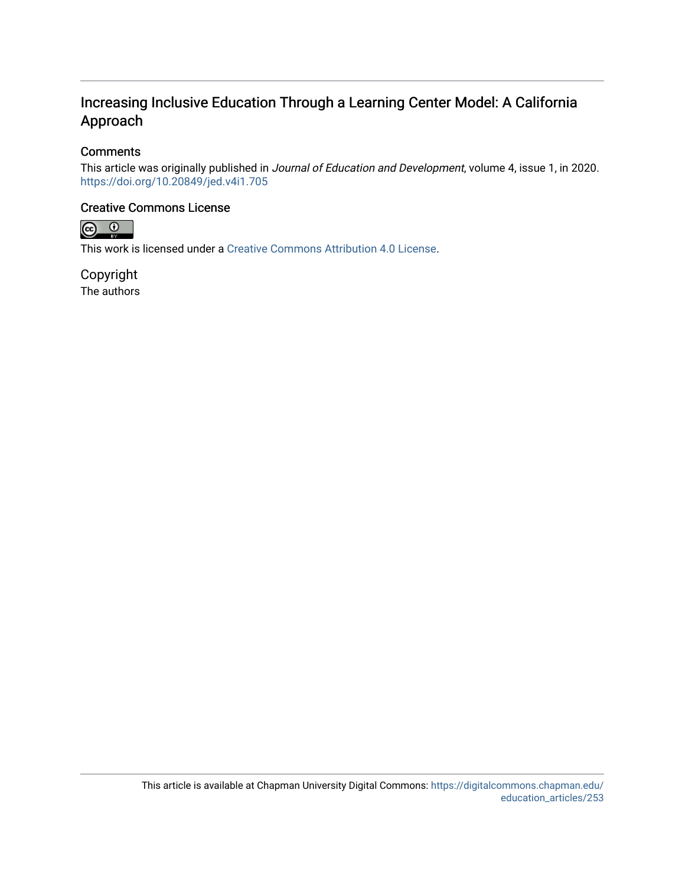# Increasing Inclusive Education Through a Learning Center Model: A California Approach

## **Comments**

This article was originally published in Journal of Education and Development, volume 4, issue 1, in 2020. <https://doi.org/10.20849/jed.v4i1.705>

## Creative Commons License



This work is licensed under a [Creative Commons Attribution 4.0 License](https://creativecommons.org/licenses/by/4.0/).

Copyright The authors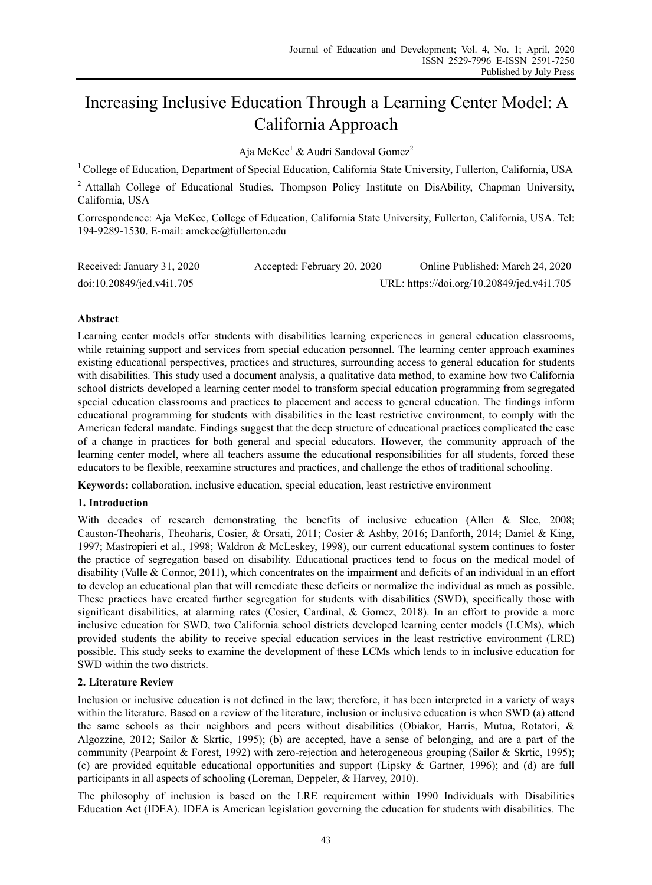# Increasing Inclusive Education Through a Learning Center Model: A California Approach

Aja McKee<sup>1</sup> & Audri Sandoval Gomez<sup>2</sup>

<sup>1</sup> College of Education, Department of Special Education, California State University, Fullerton, California, USA

<sup>2</sup> Attallah College of Educational Studies, Thompson Policy Institute on DisAbility, Chapman University, California, USA

Correspondence: Aja McKee, College of Education, California State University, Fullerton, California, USA. Tel: 194-9289-1530. E-mail: amckee@fullerton.edu

| Received: January 31, 2020 | Accepted: February 20, 2020 | Online Published: March 24, 2020           |
|----------------------------|-----------------------------|--------------------------------------------|
| doi:10.20849/jed.v4i1.705  |                             | URL: https://doi.org/10.20849/jed.v4i1.705 |

#### **Abstract**

Learning center models offer students with disabilities learning experiences in general education classrooms, while retaining support and services from special education personnel. The learning center approach examines existing educational perspectives, practices and structures, surrounding access to general education for students with disabilities. This study used a document analysis, a qualitative data method, to examine how two California school districts developed a learning center model to transform special education programming from segregated special education classrooms and practices to placement and access to general education. The findings inform educational programming for students with disabilities in the least restrictive environment, to comply with the American federal mandate. Findings suggest that the deep structure of educational practices complicated the ease of a change in practices for both general and special educators. However, the community approach of the learning center model, where all teachers assume the educational responsibilities for all students, forced these educators to be flexible, reexamine structures and practices, and challenge the ethos of traditional schooling.

**Keywords:** collaboration, inclusive education, special education, least restrictive environment

#### **1. Introduction**

With decades of research demonstrating the benefits of inclusive education (Allen & Slee, 2008; Causton-Theoharis, Theoharis, Cosier, & Orsati, 2011; Cosier & Ashby, 2016; Danforth, 2014; Daniel & King, 1997; Mastropieri et al., 1998; Waldron & McLeskey, 1998), our current educational system continues to foster the practice of segregation based on disability. Educational practices tend to focus on the medical model of disability (Valle & Connor, 2011), which concentrates on the impairment and deficits of an individual in an effort to develop an educational plan that will remediate these deficits or normalize the individual as much as possible. These practices have created further segregation for students with disabilities (SWD), specifically those with significant disabilities, at alarming rates (Cosier, Cardinal, & Gomez, 2018). In an effort to provide a more inclusive education for SWD, two California school districts developed learning center models (LCMs), which provided students the ability to receive special education services in the least restrictive environment (LRE) possible. This study seeks to examine the development of these LCMs which lends to in inclusive education for SWD within the two districts.

#### **2. Literature Review**

Inclusion or inclusive education is not defined in the law; therefore, it has been interpreted in a variety of ways within the literature. Based on a review of the literature, inclusion or inclusive education is when SWD (a) attend the same schools as their neighbors and peers without disabilities (Obiakor, Harris, Mutua, Rotatori, & Algozzine, 2012; Sailor & Skrtic, 1995); (b) are accepted, have a sense of belonging, and are a part of the community (Pearpoint & Forest, 1992) with zero-rejection and heterogeneous grouping (Sailor & Skrtic, 1995); (c) are provided equitable educational opportunities and support (Lipsky & Gartner, 1996); and (d) are full participants in all aspects of schooling (Loreman, Deppeler, & Harvey, 2010).

The philosophy of inclusion is based on the LRE requirement within 1990 Individuals with Disabilities Education Act (IDEA). IDEA is American legislation governing the education for students with disabilities. The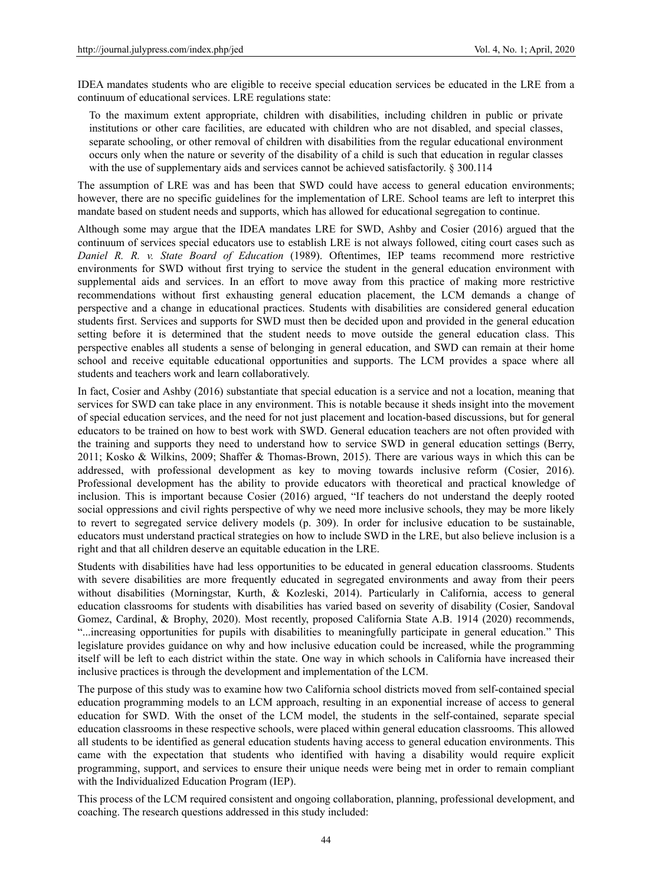IDEA mandates students who are eligible to receive special education services be educated in the LRE from a continuum of educational services. LRE regulations state:

To the maximum extent appropriate, children with disabilities, including children in public or private institutions or other care facilities, are educated with children who are not disabled, and special classes, separate schooling, or other removal of children with disabilities from the regular educational environment occurs only when the nature or severity of the disability of a child is such that education in regular classes with the use of supplementary aids and services cannot be achieved satisfactorily.  $\S 300.114$ 

The assumption of LRE was and has been that SWD could have access to general education environments; however, there are no specific guidelines for the implementation of LRE. School teams are left to interpret this mandate based on student needs and supports, which has allowed for educational segregation to continue.

Although some may argue that the IDEA mandates LRE for SWD, Ashby and Cosier (2016) argued that the continuum of services special educators use to establish LRE is not always followed, citing court cases such as *Daniel R. R. v. State Board of Education* (1989). Oftentimes, IEP teams recommend more restrictive environments for SWD without first trying to service the student in the general education environment with supplemental aids and services. In an effort to move away from this practice of making more restrictive recommendations without first exhausting general education placement, the LCM demands a change of perspective and a change in educational practices. Students with disabilities are considered general education students first. Services and supports for SWD must then be decided upon and provided in the general education setting before it is determined that the student needs to move outside the general education class. This perspective enables all students a sense of belonging in general education, and SWD can remain at their home school and receive equitable educational opportunities and supports. The LCM provides a space where all students and teachers work and learn collaboratively.

In fact, Cosier and Ashby (2016) substantiate that special education is a service and not a location, meaning that services for SWD can take place in any environment. This is notable because it sheds insight into the movement of special education services, and the need for not just placement and location-based discussions, but for general educators to be trained on how to best work with SWD. General education teachers are not often provided with the training and supports they need to understand how to service SWD in general education settings (Berry, 2011; Kosko & Wilkins, 2009; Shaffer & Thomas-Brown, 2015). There are various ways in which this can be addressed, with professional development as key to moving towards inclusive reform (Cosier, 2016). Professional development has the ability to provide educators with theoretical and practical knowledge of inclusion. This is important because Cosier (2016) argued, "If teachers do not understand the deeply rooted social oppressions and civil rights perspective of why we need more inclusive schools, they may be more likely to revert to segregated service delivery models (p. 309). In order for inclusive education to be sustainable, educators must understand practical strategies on how to include SWD in the LRE, but also believe inclusion is a right and that all children deserve an equitable education in the LRE.

Students with disabilities have had less opportunities to be educated in general education classrooms. Students with severe disabilities are more frequently educated in segregated environments and away from their peers without disabilities (Morningstar, Kurth, & Kozleski, 2014). Particularly in California, access to general education classrooms for students with disabilities has varied based on severity of disability (Cosier, Sandoval Gomez, Cardinal, & Brophy, 2020). Most recently, proposed California State A.B. 1914 (2020) recommends, "...increasing opportunities for pupils with disabilities to meaningfully participate in general education." This legislature provides guidance on why and how inclusive education could be increased, while the programming itself will be left to each district within the state. One way in which schools in California have increased their inclusive practices is through the development and implementation of the LCM.

The purpose of this study was to examine how two California school districts moved from self-contained special education programming models to an LCM approach, resulting in an exponential increase of access to general education for SWD. With the onset of the LCM model, the students in the self-contained, separate special education classrooms in these respective schools, were placed within general education classrooms. This allowed all students to be identified as general education students having access to general education environments. This came with the expectation that students who identified with having a disability would require explicit programming, support, and services to ensure their unique needs were being met in order to remain compliant with the Individualized Education Program (IEP).

This process of the LCM required consistent and ongoing collaboration, planning, professional development, and coaching. The research questions addressed in this study included: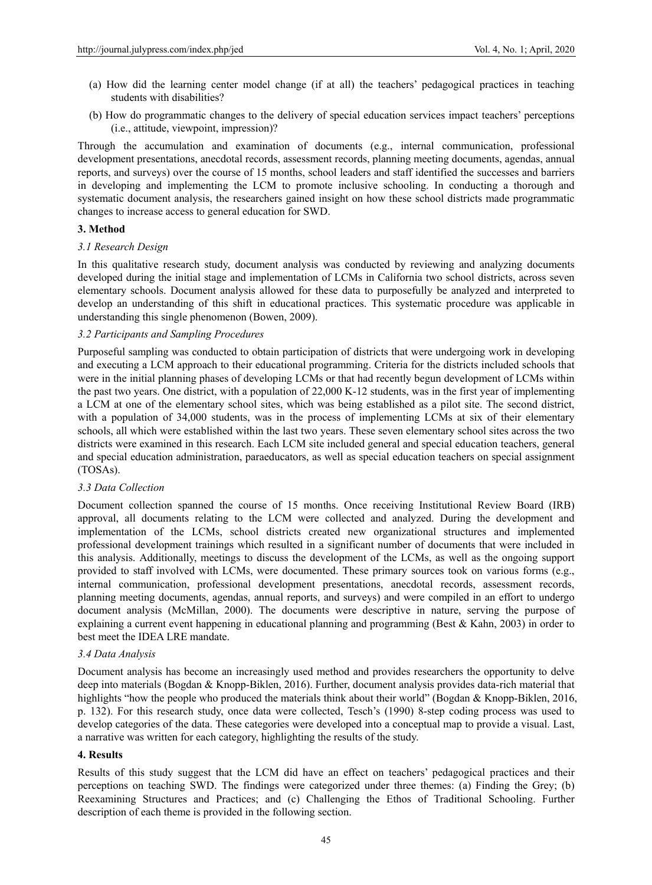- (a) How did the learning center model change (if at all) the teachers' pedagogical practices in teaching students with disabilities?
- (b) How do programmatic changes to the delivery of special education services impact teachers' perceptions (i.e., attitude, viewpoint, impression)?

Through the accumulation and examination of documents (e.g., internal communication, professional development presentations, anecdotal records, assessment records, planning meeting documents, agendas, annual reports, and surveys) over the course of 15 months, school leaders and staff identified the successes and barriers in developing and implementing the LCM to promote inclusive schooling. In conducting a thorough and systematic document analysis, the researchers gained insight on how these school districts made programmatic changes to increase access to general education for SWD.

#### **3. Method**

#### *3.1 Research Design*

In this qualitative research study, document analysis was conducted by reviewing and analyzing documents developed during the initial stage and implementation of LCMs in California two school districts, across seven elementary schools. Document analysis allowed for these data to purposefully be analyzed and interpreted to develop an understanding of this shift in educational practices. This systematic procedure was applicable in understanding this single phenomenon (Bowen, 2009).

#### *3.2 Participants and Sampling Procedures*

Purposeful sampling was conducted to obtain participation of districts that were undergoing work in developing and executing a LCM approach to their educational programming. Criteria for the districts included schools that were in the initial planning phases of developing LCMs or that had recently begun development of LCMs within the past two years. One district, with a population of 22,000 K-12 students, was in the first year of implementing a LCM at one of the elementary school sites, which was being established as a pilot site. The second district, with a population of 34,000 students, was in the process of implementing LCMs at six of their elementary schools, all which were established within the last two years. These seven elementary school sites across the two districts were examined in this research. Each LCM site included general and special education teachers, general and special education administration, paraeducators, as well as special education teachers on special assignment (TOSAs).

#### *3.3 Data Collection*

Document collection spanned the course of 15 months. Once receiving Institutional Review Board (IRB) approval, all documents relating to the LCM were collected and analyzed. During the development and implementation of the LCMs, school districts created new organizational structures and implemented professional development trainings which resulted in a significant number of documents that were included in this analysis. Additionally, meetings to discuss the development of the LCMs, as well as the ongoing support provided to staff involved with LCMs, were documented. These primary sources took on various forms (e.g., internal communication, professional development presentations, anecdotal records, assessment records, planning meeting documents, agendas, annual reports, and surveys) and were compiled in an effort to undergo document analysis (McMillan, 2000). The documents were descriptive in nature, serving the purpose of explaining a current event happening in educational planning and programming (Best & Kahn, 2003) in order to best meet the IDEA LRE mandate.

#### *3.4 Data Analysis*

Document analysis has become an increasingly used method and provides researchers the opportunity to delve deep into materials (Bogdan & Knopp-Biklen, 2016). Further, document analysis provides data-rich material that highlights "how the people who produced the materials think about their world" (Bogdan & Knopp-Biklen, 2016, p. 132). For this research study, once data were collected, Tesch's (1990) 8-step coding process was used to develop categories of the data. These categories were developed into a conceptual map to provide a visual. Last, a narrative was written for each category, highlighting the results of the study.

#### **4. Results**

Results of this study suggest that the LCM did have an effect on teachers' pedagogical practices and their perceptions on teaching SWD. The findings were categorized under three themes: (a) Finding the Grey; (b) Reexamining Structures and Practices; and (c) Challenging the Ethos of Traditional Schooling. Further description of each theme is provided in the following section.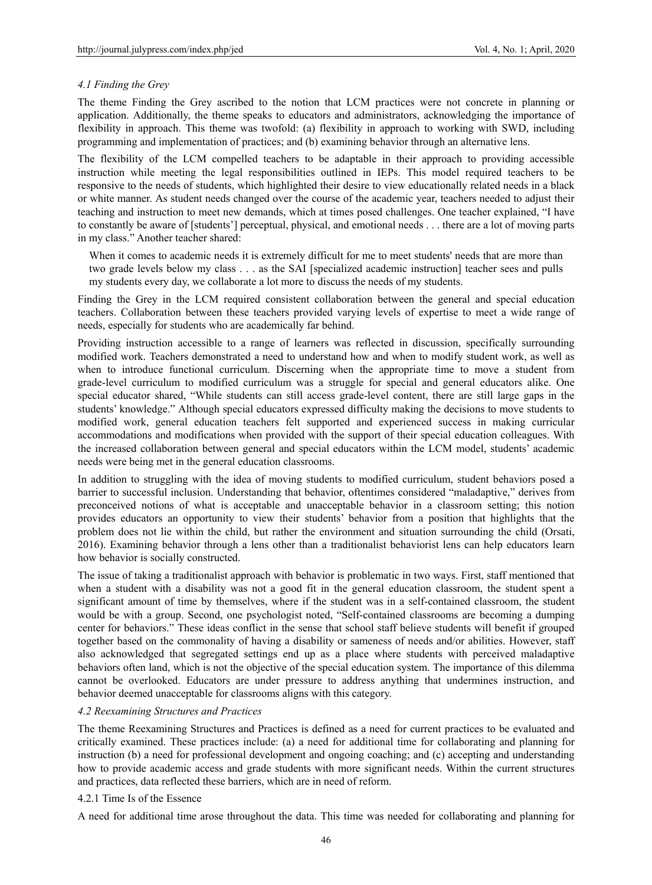#### *4.1 Finding the Grey*

The theme Finding the Grey ascribed to the notion that LCM practices were not concrete in planning or application. Additionally, the theme speaks to educators and administrators, acknowledging the importance of flexibility in approach. This theme was twofold: (a) flexibility in approach to working with SWD, including programming and implementation of practices; and (b) examining behavior through an alternative lens.

The flexibility of the LCM compelled teachers to be adaptable in their approach to providing accessible instruction while meeting the legal responsibilities outlined in IEPs. This model required teachers to be responsive to the needs of students, which highlighted their desire to view educationally related needs in a black or white manner. As student needs changed over the course of the academic year, teachers needed to adjust their teaching and instruction to meet new demands, which at times posed challenges. One teacher explained, "I have to constantly be aware of [students'] perceptual, physical, and emotional needs . . . there are a lot of moving parts in my class." Another teacher shared:

When it comes to academic needs it is extremely difficult for me to meet students' needs that are more than two grade levels below my class . . . as the SAI [specialized academic instruction] teacher sees and pulls my students every day, we collaborate a lot more to discuss the needs of my students.

Finding the Grey in the LCM required consistent collaboration between the general and special education teachers. Collaboration between these teachers provided varying levels of expertise to meet a wide range of needs, especially for students who are academically far behind.

Providing instruction accessible to a range of learners was reflected in discussion, specifically surrounding modified work. Teachers demonstrated a need to understand how and when to modify student work, as well as when to introduce functional curriculum. Discerning when the appropriate time to move a student from grade-level curriculum to modified curriculum was a struggle for special and general educators alike. One special educator shared, "While students can still access grade-level content, there are still large gaps in the students' knowledge." Although special educators expressed difficulty making the decisions to move students to modified work, general education teachers felt supported and experienced success in making curricular accommodations and modifications when provided with the support of their special education colleagues. With the increased collaboration between general and special educators within the LCM model, students' academic needs were being met in the general education classrooms.

In addition to struggling with the idea of moving students to modified curriculum, student behaviors posed a barrier to successful inclusion. Understanding that behavior, oftentimes considered "maladaptive," derives from preconceived notions of what is acceptable and unacceptable behavior in a classroom setting; this notion provides educators an opportunity to view their students' behavior from a position that highlights that the problem does not lie within the child, but rather the environment and situation surrounding the child (Orsati, 2016). Examining behavior through a lens other than a traditionalist behaviorist lens can help educators learn how behavior is socially constructed.

The issue of taking a traditionalist approach with behavior is problematic in two ways. First, staff mentioned that when a student with a disability was not a good fit in the general education classroom, the student spent a significant amount of time by themselves, where if the student was in a self-contained classroom, the student would be with a group. Second, one psychologist noted, "Self-contained classrooms are becoming a dumping center for behaviors." These ideas conflict in the sense that school staff believe students will benefit if grouped together based on the commonality of having a disability or sameness of needs and/or abilities. However, staff also acknowledged that segregated settings end up as a place where students with perceived maladaptive behaviors often land, which is not the objective of the special education system. The importance of this dilemma cannot be overlooked. Educators are under pressure to address anything that undermines instruction, and behavior deemed unacceptable for classrooms aligns with this category.

#### *4.2 Reexamining Structures and Practices*

The theme Reexamining Structures and Practices is defined as a need for current practices to be evaluated and critically examined. These practices include: (a) a need for additional time for collaborating and planning for instruction (b) a need for professional development and ongoing coaching; and (c) accepting and understanding how to provide academic access and grade students with more significant needs. Within the current structures and practices, data reflected these barriers, which are in need of reform.

#### 4.2.1 Time Is of the Essence

A need for additional time arose throughout the data. This time was needed for collaborating and planning for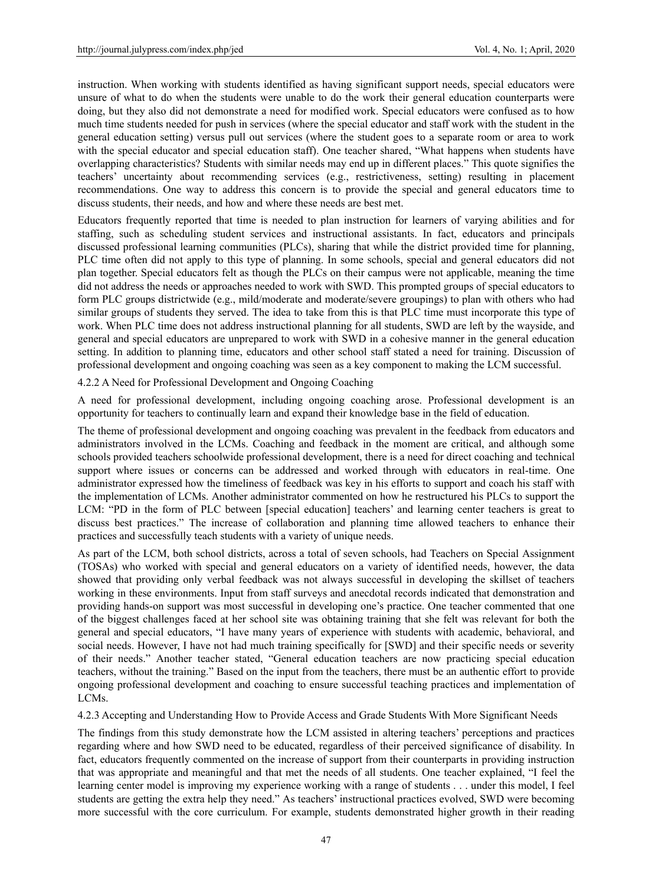instruction. When working with students identified as having significant support needs, special educators were unsure of what to do when the students were unable to do the work their general education counterparts were doing, but they also did not demonstrate a need for modified work. Special educators were confused as to how much time students needed for push in services (where the special educator and staff work with the student in the general education setting) versus pull out services (where the student goes to a separate room or area to work with the special educator and special education staff). One teacher shared, "What happens when students have overlapping characteristics? Students with similar needs may end up in different places." This quote signifies the teachers' uncertainty about recommending services (e.g., restrictiveness, setting) resulting in placement recommendations. One way to address this concern is to provide the special and general educators time to discuss students, their needs, and how and where these needs are best met.

Educators frequently reported that time is needed to plan instruction for learners of varying abilities and for staffing, such as scheduling student services and instructional assistants. In fact, educators and principals discussed professional learning communities (PLCs), sharing that while the district provided time for planning, PLC time often did not apply to this type of planning. In some schools, special and general educators did not plan together. Special educators felt as though the PLCs on their campus were not applicable, meaning the time did not address the needs or approaches needed to work with SWD. This prompted groups of special educators to form PLC groups districtwide (e.g., mild/moderate and moderate/severe groupings) to plan with others who had similar groups of students they served. The idea to take from this is that PLC time must incorporate this type of work. When PLC time does not address instructional planning for all students, SWD are left by the wayside, and general and special educators are unprepared to work with SWD in a cohesive manner in the general education setting. In addition to planning time, educators and other school staff stated a need for training. Discussion of professional development and ongoing coaching was seen as a key component to making the LCM successful.

4.2.2 A Need for Professional Development and Ongoing Coaching

A need for professional development, including ongoing coaching arose. Professional development is an opportunity for teachers to continually learn and expand their knowledge base in the field of education.

The theme of professional development and ongoing coaching was prevalent in the feedback from educators and administrators involved in the LCMs. Coaching and feedback in the moment are critical, and although some schools provided teachers schoolwide professional development, there is a need for direct coaching and technical support where issues or concerns can be addressed and worked through with educators in real-time. One administrator expressed how the timeliness of feedback was key in his efforts to support and coach his staff with the implementation of LCMs. Another administrator commented on how he restructured his PLCs to support the LCM: "PD in the form of PLC between [special education] teachers' and learning center teachers is great to discuss best practices." The increase of collaboration and planning time allowed teachers to enhance their practices and successfully teach students with a variety of unique needs.

As part of the LCM, both school districts, across a total of seven schools, had Teachers on Special Assignment (TOSAs) who worked with special and general educators on a variety of identified needs, however, the data showed that providing only verbal feedback was not always successful in developing the skillset of teachers working in these environments. Input from staff surveys and anecdotal records indicated that demonstration and providing hands-on support was most successful in developing one's practice. One teacher commented that one of the biggest challenges faced at her school site was obtaining training that she felt was relevant for both the general and special educators, "I have many years of experience with students with academic, behavioral, and social needs. However, I have not had much training specifically for [SWD] and their specific needs or severity of their needs." Another teacher stated, "General education teachers are now practicing special education teachers, without the training." Based on the input from the teachers, there must be an authentic effort to provide ongoing professional development and coaching to ensure successful teaching practices and implementation of LCMs.

4.2.3 Accepting and Understanding How to Provide Access and Grade Students With More Significant Needs

The findings from this study demonstrate how the LCM assisted in altering teachers' perceptions and practices regarding where and how SWD need to be educated, regardless of their perceived significance of disability. In fact, educators frequently commented on the increase of support from their counterparts in providing instruction that was appropriate and meaningful and that met the needs of all students. One teacher explained, "I feel the learning center model is improving my experience working with a range of students . . . under this model, I feel students are getting the extra help they need." As teachers' instructional practices evolved, SWD were becoming more successful with the core curriculum. For example, students demonstrated higher growth in their reading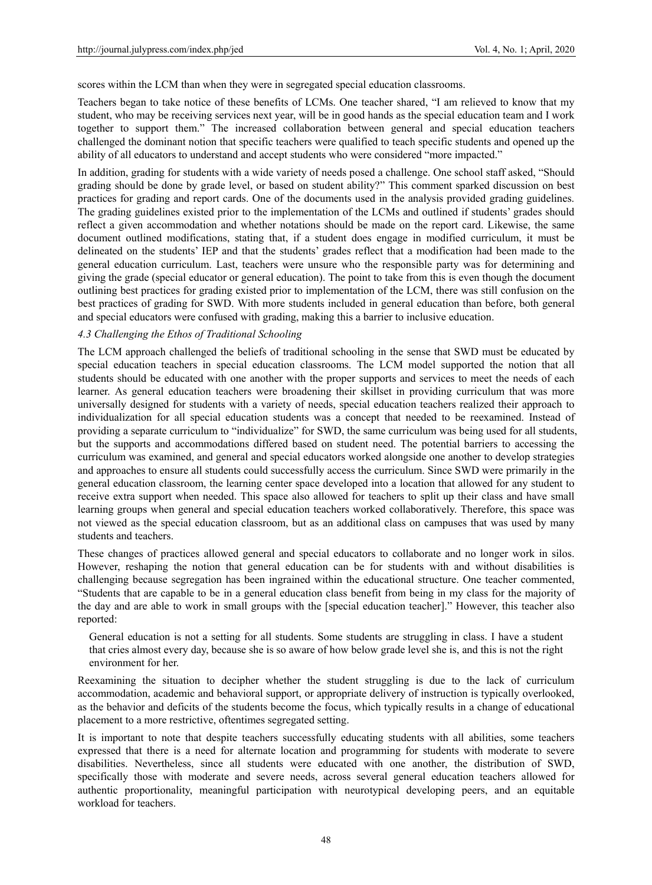scores within the LCM than when they were in segregated special education classrooms.

Teachers began to take notice of these benefits of LCMs. One teacher shared, "I am relieved to know that my student, who may be receiving services next year, will be in good hands as the special education team and I work together to support them." The increased collaboration between general and special education teachers challenged the dominant notion that specific teachers were qualified to teach specific students and opened up the ability of all educators to understand and accept students who were considered "more impacted."

In addition, grading for students with a wide variety of needs posed a challenge. One school staff asked, "Should grading should be done by grade level, or based on student ability?" This comment sparked discussion on best practices for grading and report cards. One of the documents used in the analysis provided grading guidelines. The grading guidelines existed prior to the implementation of the LCMs and outlined if students' grades should reflect a given accommodation and whether notations should be made on the report card. Likewise, the same document outlined modifications, stating that, if a student does engage in modified curriculum, it must be delineated on the students' IEP and that the students' grades reflect that a modification had been made to the general education curriculum. Last, teachers were unsure who the responsible party was for determining and giving the grade (special educator or general education). The point to take from this is even though the document outlining best practices for grading existed prior to implementation of the LCM, there was still confusion on the best practices of grading for SWD. With more students included in general education than before, both general and special educators were confused with grading, making this a barrier to inclusive education.

#### *4.3 Challenging the Ethos of Traditional Schooling*

The LCM approach challenged the beliefs of traditional schooling in the sense that SWD must be educated by special education teachers in special education classrooms. The LCM model supported the notion that all students should be educated with one another with the proper supports and services to meet the needs of each learner. As general education teachers were broadening their skillset in providing curriculum that was more universally designed for students with a variety of needs, special education teachers realized their approach to individualization for all special education students was a concept that needed to be reexamined. Instead of providing a separate curriculum to "individualize" for SWD, the same curriculum was being used for all students, but the supports and accommodations differed based on student need. The potential barriers to accessing the curriculum was examined, and general and special educators worked alongside one another to develop strategies and approaches to ensure all students could successfully access the curriculum. Since SWD were primarily in the general education classroom, the learning center space developed into a location that allowed for any student to receive extra support when needed. This space also allowed for teachers to split up their class and have small learning groups when general and special education teachers worked collaboratively. Therefore, this space was not viewed as the special education classroom, but as an additional class on campuses that was used by many students and teachers.

These changes of practices allowed general and special educators to collaborate and no longer work in silos. However, reshaping the notion that general education can be for students with and without disabilities is challenging because segregation has been ingrained within the educational structure. One teacher commented, "Students that are capable to be in a general education class benefit from being in my class for the majority of the day and are able to work in small groups with the [special education teacher]." However, this teacher also reported:

General education is not a setting for all students. Some students are struggling in class. I have a student that cries almost every day, because she is so aware of how below grade level she is, and this is not the right environment for her.

Reexamining the situation to decipher whether the student struggling is due to the lack of curriculum accommodation, academic and behavioral support, or appropriate delivery of instruction is typically overlooked, as the behavior and deficits of the students become the focus, which typically results in a change of educational placement to a more restrictive, oftentimes segregated setting.

It is important to note that despite teachers successfully educating students with all abilities, some teachers expressed that there is a need for alternate location and programming for students with moderate to severe disabilities. Nevertheless, since all students were educated with one another, the distribution of SWD, specifically those with moderate and severe needs, across several general education teachers allowed for authentic proportionality, meaningful participation with neurotypical developing peers, and an equitable workload for teachers.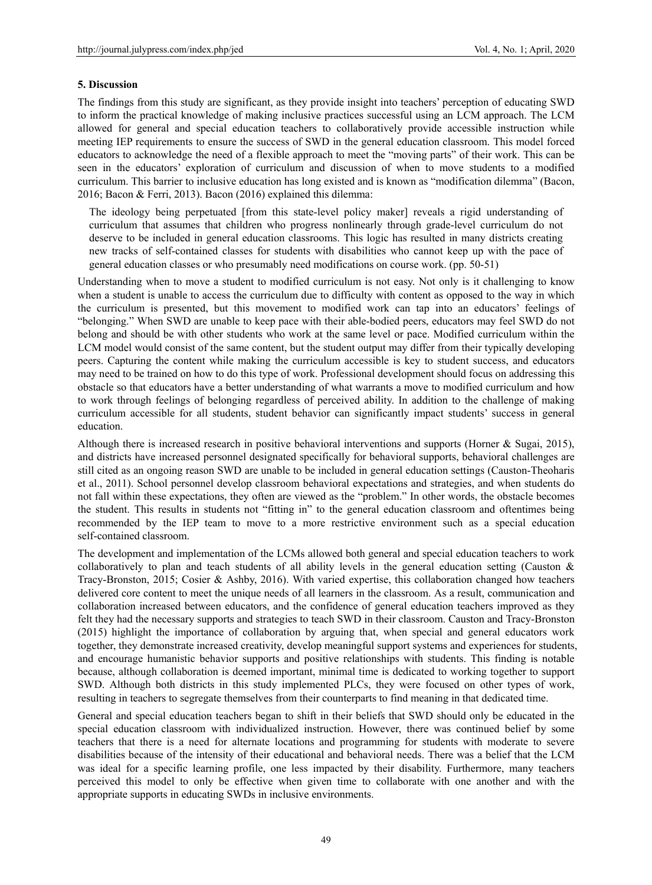#### **5. Discussion**

The findings from this study are significant, as they provide insight into teachers' perception of educating SWD to inform the practical knowledge of making inclusive practices successful using an LCM approach. The LCM allowed for general and special education teachers to collaboratively provide accessible instruction while meeting IEP requirements to ensure the success of SWD in the general education classroom. This model forced educators to acknowledge the need of a flexible approach to meet the "moving parts" of their work. This can be seen in the educators' exploration of curriculum and discussion of when to move students to a modified curriculum. This barrier to inclusive education has long existed and is known as "modification dilemma" (Bacon, 2016; Bacon & Ferri, 2013). Bacon (2016) explained this dilemma:

The ideology being perpetuated [from this state-level policy maker] reveals a rigid understanding of curriculum that assumes that children who progress nonlinearly through grade-level curriculum do not deserve to be included in general education classrooms. This logic has resulted in many districts creating new tracks of self-contained classes for students with disabilities who cannot keep up with the pace of general education classes or who presumably need modifications on course work. (pp. 50-51)

Understanding when to move a student to modified curriculum is not easy. Not only is it challenging to know when a student is unable to access the curriculum due to difficulty with content as opposed to the way in which the curriculum is presented, but this movement to modified work can tap into an educators' feelings of "belonging." When SWD are unable to keep pace with their able-bodied peers, educators may feel SWD do not belong and should be with other students who work at the same level or pace. Modified curriculum within the LCM model would consist of the same content, but the student output may differ from their typically developing peers. Capturing the content while making the curriculum accessible is key to student success, and educators may need to be trained on how to do this type of work. Professional development should focus on addressing this obstacle so that educators have a better understanding of what warrants a move to modified curriculum and how to work through feelings of belonging regardless of perceived ability. In addition to the challenge of making curriculum accessible for all students, student behavior can significantly impact students' success in general education.

Although there is increased research in positive behavioral interventions and supports (Horner & Sugai, 2015), and districts have increased personnel designated specifically for behavioral supports, behavioral challenges are still cited as an ongoing reason SWD are unable to be included in general education settings (Causton-Theoharis et al., 2011). School personnel develop classroom behavioral expectations and strategies, and when students do not fall within these expectations, they often are viewed as the "problem." In other words, the obstacle becomes the student. This results in students not "fitting in" to the general education classroom and oftentimes being recommended by the IEP team to move to a more restrictive environment such as a special education self-contained classroom.

The development and implementation of the LCMs allowed both general and special education teachers to work collaboratively to plan and teach students of all ability levels in the general education setting (Causton & Tracy-Bronston, 2015; Cosier & Ashby, 2016). With varied expertise, this collaboration changed how teachers delivered core content to meet the unique needs of all learners in the classroom. As a result, communication and collaboration increased between educators, and the confidence of general education teachers improved as they felt they had the necessary supports and strategies to teach SWD in their classroom. Causton and Tracy-Bronston (2015) highlight the importance of collaboration by arguing that, when special and general educators work together, they demonstrate increased creativity, develop meaningful support systems and experiences for students, and encourage humanistic behavior supports and positive relationships with students. This finding is notable because, although collaboration is deemed important, minimal time is dedicated to working together to support SWD. Although both districts in this study implemented PLCs, they were focused on other types of work, resulting in teachers to segregate themselves from their counterparts to find meaning in that dedicated time.

General and special education teachers began to shift in their beliefs that SWD should only be educated in the special education classroom with individualized instruction. However, there was continued belief by some teachers that there is a need for alternate locations and programming for students with moderate to severe disabilities because of the intensity of their educational and behavioral needs. There was a belief that the LCM was ideal for a specific learning profile, one less impacted by their disability. Furthermore, many teachers perceived this model to only be effective when given time to collaborate with one another and with the appropriate supports in educating SWDs in inclusive environments.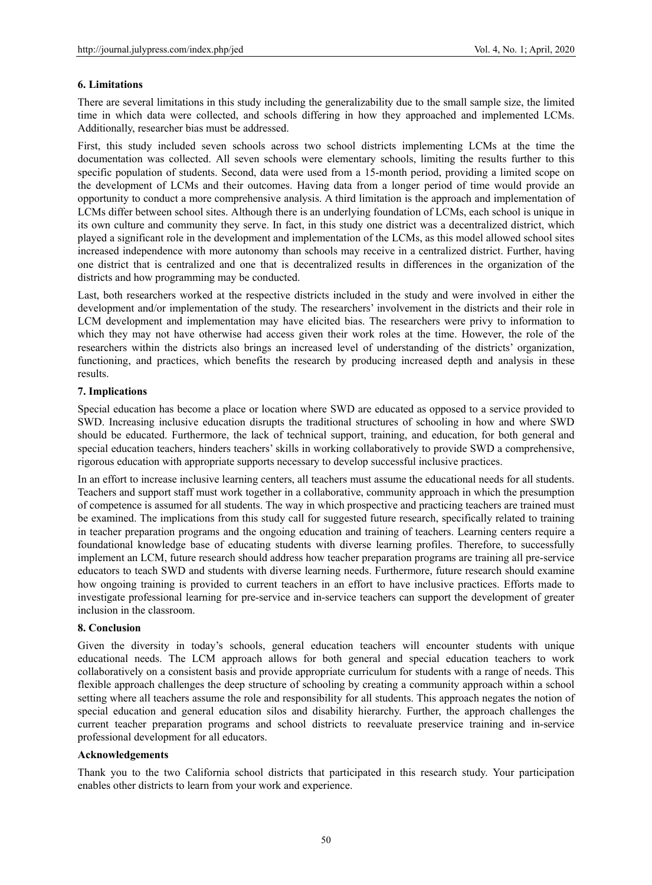#### **6. Limitations**

There are several limitations in this study including the generalizability due to the small sample size, the limited time in which data were collected, and schools differing in how they approached and implemented LCMs. Additionally, researcher bias must be addressed.

First, this study included seven schools across two school districts implementing LCMs at the time the documentation was collected. All seven schools were elementary schools, limiting the results further to this specific population of students. Second, data were used from a 15-month period, providing a limited scope on the development of LCMs and their outcomes. Having data from a longer period of time would provide an opportunity to conduct a more comprehensive analysis. A third limitation is the approach and implementation of LCMs differ between school sites. Although there is an underlying foundation of LCMs, each school is unique in its own culture and community they serve. In fact, in this study one district was a decentralized district, which played a significant role in the development and implementation of the LCMs, as this model allowed school sites increased independence with more autonomy than schools may receive in a centralized district. Further, having one district that is centralized and one that is decentralized results in differences in the organization of the districts and how programming may be conducted.

Last, both researchers worked at the respective districts included in the study and were involved in either the development and/or implementation of the study. The researchers' involvement in the districts and their role in LCM development and implementation may have elicited bias. The researchers were privy to information to which they may not have otherwise had access given their work roles at the time. However, the role of the researchers within the districts also brings an increased level of understanding of the districts' organization, functioning, and practices, which benefits the research by producing increased depth and analysis in these results.

#### **7. Implications**

Special education has become a place or location where SWD are educated as opposed to a service provided to SWD. Increasing inclusive education disrupts the traditional structures of schooling in how and where SWD should be educated. Furthermore, the lack of technical support, training, and education, for both general and special education teachers, hinders teachers' skills in working collaboratively to provide SWD a comprehensive, rigorous education with appropriate supports necessary to develop successful inclusive practices.

In an effort to increase inclusive learning centers, all teachers must assume the educational needs for all students. Teachers and support staff must work together in a collaborative, community approach in which the presumption of competence is assumed for all students. The way in which prospective and practicing teachers are trained must be examined. The implications from this study call for suggested future research, specifically related to training in teacher preparation programs and the ongoing education and training of teachers. Learning centers require a foundational knowledge base of educating students with diverse learning profiles. Therefore, to successfully implement an LCM, future research should address how teacher preparation programs are training all pre-service educators to teach SWD and students with diverse learning needs. Furthermore, future research should examine how ongoing training is provided to current teachers in an effort to have inclusive practices. Efforts made to investigate professional learning for pre-service and in-service teachers can support the development of greater inclusion in the classroom.

#### **8. Conclusion**

Given the diversity in today's schools, general education teachers will encounter students with unique educational needs. The LCM approach allows for both general and special education teachers to work collaboratively on a consistent basis and provide appropriate curriculum for students with a range of needs. This flexible approach challenges the deep structure of schooling by creating a community approach within a school setting where all teachers assume the role and responsibility for all students. This approach negates the notion of special education and general education silos and disability hierarchy. Further, the approach challenges the current teacher preparation programs and school districts to reevaluate preservice training and in-service professional development for all educators.

#### **Acknowledgements**

Thank you to the two California school districts that participated in this research study. Your participation enables other districts to learn from your work and experience.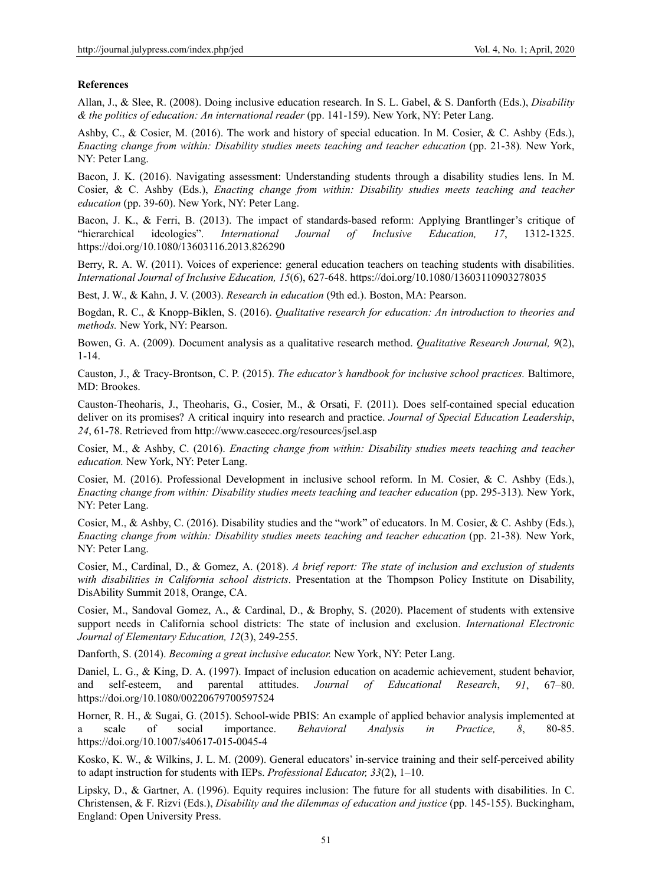#### **References**

Allan, J., & Slee, R. (2008). Doing inclusive education research. In S. L. Gabel, & S. Danforth (Eds.), *Disability & the politics of education: An international reader* (pp. 141-159). New York, NY: Peter Lang.

Ashby, C., & Cosier, M. (2016). The work and history of special education. In M. Cosier, & C. Ashby (Eds.), *Enacting change from within: Disability studies meets teaching and teacher education (pp. 21-38). New York,* NY: Peter Lang.

Bacon, J. K. (2016). Navigating assessment: Understanding students through a disability studies lens. In M. Cosier, & C. Ashby (Eds.), *Enacting change from within: Disability studies meets teaching and teacher education* (pp. 39-60). New York, NY: Peter Lang.

Bacon, J. K., & Ferri, B. (2013). The impact of standards-based reform: Applying Brantlinger's critique of "hierarchical ideologies". *International Journal of Inclusive Education, 17*, 1312-1325. https://doi.org/10.1080/13603116.2013.826290

Berry, R. A. W. (2011). Voices of experience: general education teachers on teaching students with disabilities. *International Journal of Inclusive Education, 15*(6), 627-648. https://doi.org/10.1080/13603110903278035

Best, J. W., & Kahn, J. V. (2003). *Research in education* (9th ed.). Boston, MA: Pearson.

Bogdan, R. C., & Knopp-Biklen, S. (2016). *Qualitative research for education: An introduction to theories and methods.* New York, NY: Pearson.

Bowen, G. A. (2009). Document analysis as a qualitative research method. *Qualitative Research Journal, 9*(2), 1-14.

Causton, J., & Tracy-Brontson, C. P. (2015). *The educator's handbook for inclusive school practices.* Baltimore, MD: Brookes.

Causton-Theoharis, J., Theoharis, G., Cosier, M., & Orsati, F. (2011). Does self-contained special education deliver on its promises? A critical inquiry into research and practice. *Journal of Special Education Leadership*, *24*, 61-78. Retrieved from http://www.casecec.org/resources/jsel.asp

Cosier, M., & Ashby, C. (2016). *Enacting change from within: Disability studies meets teaching and teacher education.* New York, NY: Peter Lang.

Cosier, M. (2016). Professional Development in inclusive school reform. In M. Cosier, & C. Ashby (Eds.), *Enacting change from within: Disability studies meets teaching and teacher education* (pp. 295-313)*.* New York, NY: Peter Lang.

Cosier, M., & Ashby, C. (2016). Disability studies and the "work" of educators. In M. Cosier, & C. Ashby (Eds.), *Enacting change from within: Disability studies meets teaching and teacher education (pp. 21-38). New York,* NY: Peter Lang.

Cosier, M., Cardinal, D., & Gomez, A. (2018). *A brief report: The state of inclusion and exclusion of students with disabilities in California school districts*. Presentation at the Thompson Policy Institute on Disability, DisAbility Summit 2018, Orange, CA.

Cosier, M., Sandoval Gomez, A., & Cardinal, D., & Brophy, S. (2020). Placement of students with extensive support needs in California school districts: The state of inclusion and exclusion. *International Electronic Journal of Elementary Education, 12*(3), 249-255.

Danforth, S. (2014). *Becoming a great inclusive educator.* New York, NY: Peter Lang.

Daniel, L. G., & King, D. A. (1997). Impact of inclusion education on academic achievement, student behavior, and self-esteem, and parental attitudes. *Journal of Educational Research*, *91*, 67–80. https://doi.org/10.1080/00220679700597524

Horner, R. H., & Sugai, G. (2015). School-wide PBIS: An example of applied behavior analysis implemented at a scale of social importance. *Behavioral Analysis in Practice, 8*, 80-85. https://doi.org/10.1007/s40617-015-0045-4

Kosko, K. W., & Wilkins, J. L. M. (2009). General educators' in-service training and their self-perceived ability to adapt instruction for students with IEPs. *Professional Educator, 33*(2), 1–10.

Lipsky, D., & Gartner, A. (1996). Equity requires inclusion: The future for all students with disabilities. In C. Christensen, & F. Rizvi (Eds.), *Disability and the dilemmas of education and justice* (pp. 145-155). Buckingham, England: Open University Press.